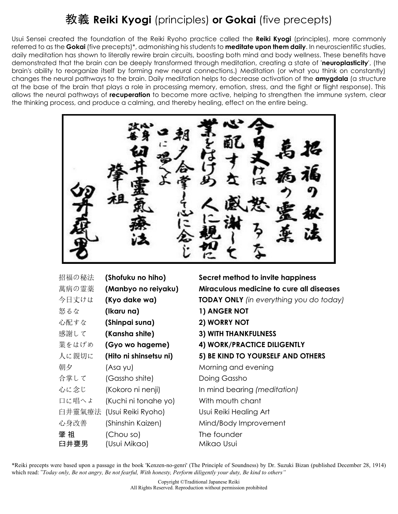# 教義 **Reiki Kyogi** (principles) **or Gokai** (five precepts)

Usui Sensei created the foundation of the Reiki Ryoho practice called the **Reiki Kyogi** (principles), more commonly referred to as the **Gokai** (five precepts)\*, admonishing his students to **meditate upon them daily**. In neuroscientific studies, daily meditation has shown to literally rewire brain circuits, boosting both mind and body wellness. These benefits have demonstrated that the brain can be deeply transformed through meditation, creating a state of '**neuroplasticity**', (the brain's ability to reorganize itself by forming new neural connections.) Meditation (or what you think on constantly) changes the neural pathways to the brain. Daily meditation helps to decrease activation of the **amygdala** (a structure at the base of the brain that plays a role in processing memory, emotion, stress, and the fight or flight response). This allows the neural pathways of **recuperation** to become more active, helping to strengthen the immune system, clear the thinking process, and produce a calming, and thereby healing, effect on the entire being.

| 招福の秘法  | (Shofuku no hiho)      |
|--------|------------------------|
| 萬病の霊薬  | (Manbyo no reiyaku)    |
| 今日丈けは  | (Kyo dake wa)          |
| 怒るな    | (Ikaru na)             |
| 心配すな   | (Shinpai suna)         |
| 感謝して   | (Kansha shite)         |
| 業をはげめ  | (Gyo wo hageme)        |
| 人に親切に  | (Hito ni shinsetsu ni) |
| 朝夕     | (Asa yu)               |
| 合掌して   | (Gassho shite)         |
| 心に念じ   | (Kokoro ni nenji)      |
| 口に唱へよ  | (Kuchi ni tonahe yo)   |
| 臼井靈氣療法 | (Usui Reiki Ryoho)     |
| 心身改善   | (Shinshin Kaizen)      |
| 肇 祖    | (Chou so)              |
| 臼井甕男   | (Usui Mikao)           |

**Secret method to invite happiness Miraculous medicine to cure all diseases TODAY ONLY** *(in everything you do today)* **1) ANGER NOT** 心配すな **(Shinpai suna) 2) WORRY NOT 3) WITH THANKFULNESS 4) WORK/PRACTICE DILIGENTLY 5) BE KIND TO YOURSELF AND OTHERS** Morning and evening Doing Gassho In mind bearing *(meditation)* With mouth chant Usui Reiki Healing Art Mind/Body Improvement The founder Mikao Usui

\*Reiki precepts were based upon a passage in the book 'Kenzen-no-genri' (The Principle of Soundness) by Dr. Suzuki Bizan (published December 28, 1914) which read: "*Today only, Be not angry, Be not fearful, With honesty, Perform diligently your duty, Be kind to others"*